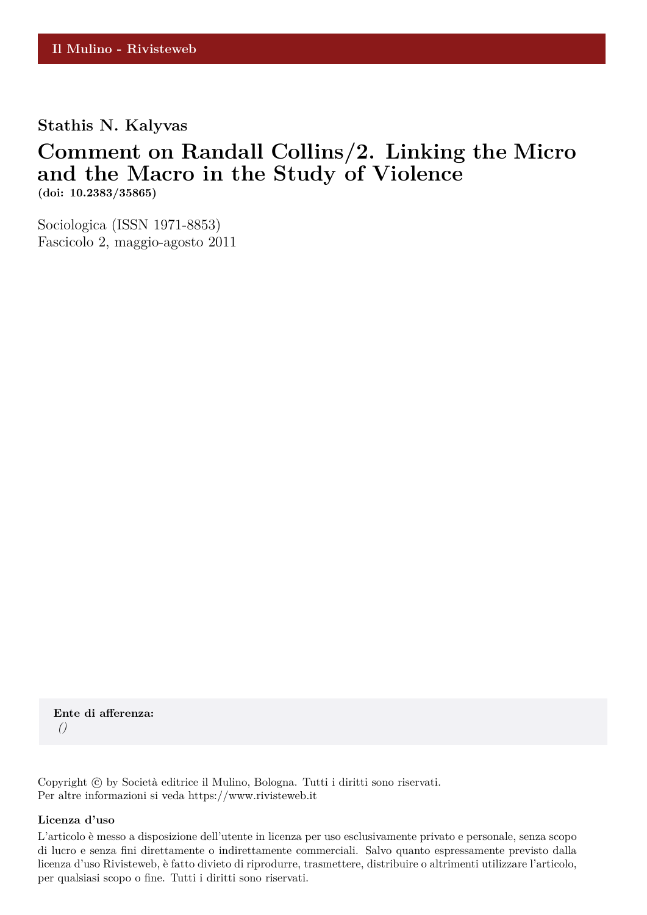### **Stathis N. Kalyvas**

## **Comment on Randall Collins/2. Linking the Micro and the Macro in the Study of Violence (doi: 10.2383/35865)**

Sociologica (ISSN 1971-8853) Fascicolo 2, maggio-agosto 2011

**Ente di afferenza:** *()*

Copyright © by Società editrice il Mulino, Bologna. Tutti i diritti sono riservati. Per altre informazioni si veda https://www.rivisteweb.it

#### **Licenza d'uso**

L'articolo è messo a disposizione dell'utente in licenza per uso esclusivamente privato e personale, senza scopo di lucro e senza fini direttamente o indirettamente commerciali. Salvo quanto espressamente previsto dalla licenza d'uso Rivisteweb, è fatto divieto di riprodurre, trasmettere, distribuire o altrimenti utilizzare l'articolo, per qualsiasi scopo o fine. Tutti i diritti sono riservati.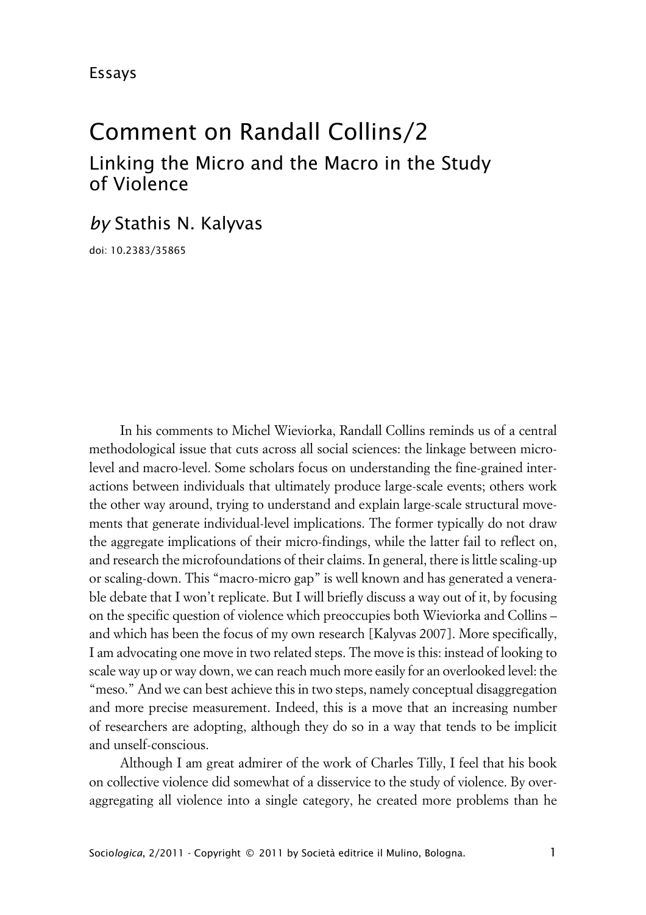# Comment on Randall Collins/2 Linking the Micro and the Macro in the Study of Violence

*by* Stathis N. Kalyvas

doi: 10.2383/35865

In his comments to Michel Wieviorka, Randall Collins reminds us of a central methodological issue that cuts across all social sciences: the linkage between microlevel and macro-level. Some scholars focus on understanding the fine-grained interactions between individuals that ultimately produce large-scale events; others work the other way around, trying to understand and explain large-scale structural movements that generate individual-level implications. The former typically do not draw the aggregate implications of their micro-findings, while the latter fail to reflect on, and research the microfoundations of their claims. In general, there is little scaling-up or scaling-down. This "macro-micro gap" is well known and has generated a venerable debate that I won't replicate. But I will briefly discuss a way out of it, by focusing on the specific question of violence which preoccupies both Wieviorka and Collins – and which has been the focus of my own research [Kalyvas 2007]. More specifically, I am advocating one move in two related steps. The move is this: instead of looking to scale way up or way down, we can reach much more easily for an overlooked level: the "meso." And we can best achieve this in two steps, namely conceptual disaggregation and more precise measurement. Indeed, this is a move that an increasing number of researchers are adopting, although they do so in a way that tends to be implicit and unself-conscious.

Although I am great admirer of the work of Charles Tilly, I feel that his book on collective violence did somewhat of a disservice to the study of violence. By overaggregating all violence into a single category, he created more problems than he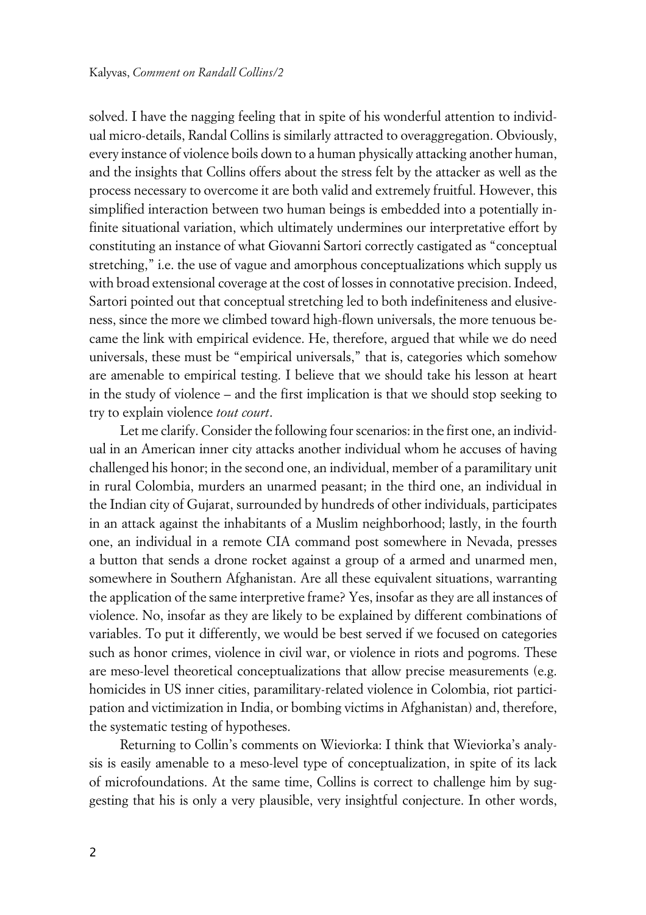solved. I have the nagging feeling that in spite of his wonderful attention to individual micro-details, Randal Collins is similarly attracted to overaggregation. Obviously, every instance of violence boils down to a human physically attacking another human, and the insights that Collins offers about the stress felt by the attacker as well as the process necessary to overcome it are both valid and extremely fruitful. However, this simplified interaction between two human beings is embedded into a potentially infinite situational variation, which ultimately undermines our interpretative effort by constituting an instance of what Giovanni Sartori correctly castigated as "conceptual stretching," i.e. the use of vague and amorphous conceptualizations which supply us with broad extensional coverage at the cost of losses in connotative precision. Indeed, Sartori pointed out that conceptual stretching led to both indefiniteness and elusiveness, since the more we climbed toward high-flown universals, the more tenuous became the link with empirical evidence. He, therefore, argued that while we do need universals, these must be "empirical universals," that is, categories which somehow are amenable to empirical testing. I believe that we should take his lesson at heart in the study of violence – and the first implication is that we should stop seeking to try to explain violence *tout court*.

Let me clarify. Consider the following four scenarios: in the first one, an individual in an American inner city attacks another individual whom he accuses of having challenged his honor; in the second one, an individual, member of a paramilitary unit in rural Colombia, murders an unarmed peasant; in the third one, an individual in the Indian city of Gujarat, surrounded by hundreds of other individuals, participates in an attack against the inhabitants of a Muslim neighborhood; lastly, in the fourth one, an individual in a remote CIA command post somewhere in Nevada, presses a button that sends a drone rocket against a group of a armed and unarmed men, somewhere in Southern Afghanistan. Are all these equivalent situations, warranting the application of the same interpretive frame? Yes, insofar as they are all instances of violence. No, insofar as they are likely to be explained by different combinations of variables. To put it differently, we would be best served if we focused on categories such as honor crimes, violence in civil war, or violence in riots and pogroms. These are meso-level theoretical conceptualizations that allow precise measurements (e.g. homicides in US inner cities, paramilitary-related violence in Colombia, riot participation and victimization in India, or bombing victims in Afghanistan) and, therefore, the systematic testing of hypotheses.

Returning to Collin's comments on Wieviorka: I think that Wieviorka's analysis is easily amenable to a meso-level type of conceptualization, in spite of its lack of microfoundations. At the same time, Collins is correct to challenge him by suggesting that his is only a very plausible, very insightful conjecture. In other words,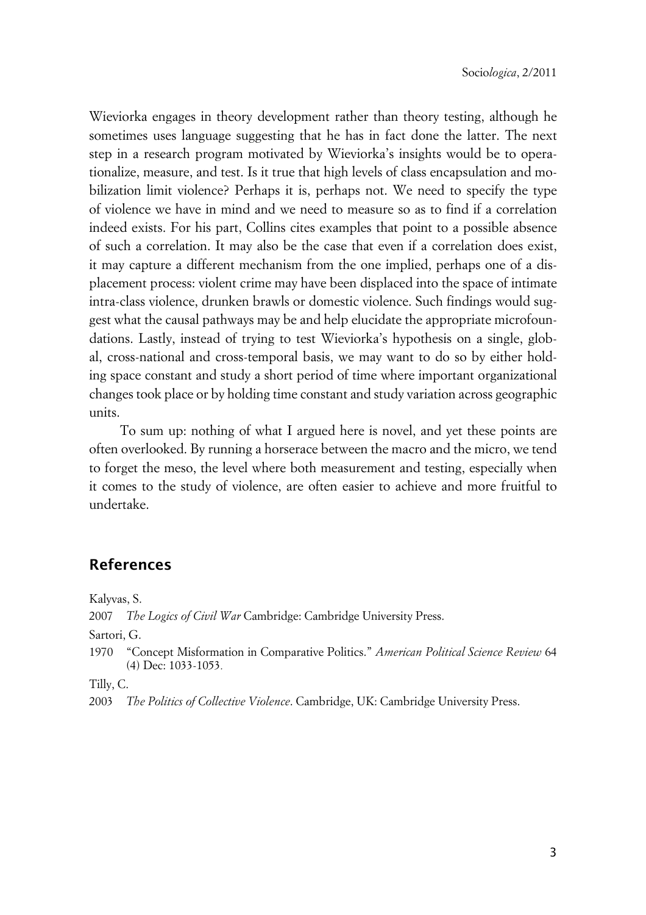Wieviorka engages in theory development rather than theory testing, although he sometimes uses language suggesting that he has in fact done the latter. The next step in a research program motivated by Wieviorka's insights would be to operationalize, measure, and test. Is it true that high levels of class encapsulation and mobilization limit violence? Perhaps it is, perhaps not. We need to specify the type of violence we have in mind and we need to measure so as to find if a correlation indeed exists. For his part, Collins cites examples that point to a possible absence of such a correlation. It may also be the case that even if a correlation does exist, it may capture a different mechanism from the one implied, perhaps one of a displacement process: violent crime may have been displaced into the space of intimate intra-class violence, drunken brawls or domestic violence. Such findings would suggest what the causal pathways may be and help elucidate the appropriate microfoundations. Lastly, instead of trying to test Wieviorka's hypothesis on a single, global, cross-national and cross-temporal basis, we may want to do so by either holding space constant and study a short period of time where important organizational changes took place or by holding time constant and study variation across geographic units.

To sum up: nothing of what I argued here is novel, and yet these points are often overlooked. By running a horserace between the macro and the micro, we tend to forget the meso, the level where both measurement and testing, especially when it comes to the study of violence, are often easier to achieve and more fruitful to undertake.

### **References**

Kalyvas, S.

2007 *The Logics of Civil War* Cambridge: Cambridge University Press.

Sartori, G.

1970 "Concept Misformation in Comparative Politics." *American Political Science Review* 64 (4) Dec: 1033-1053*.*

Tilly, C.

2003 *The Politics of Collective Violence*. Cambridge, UK: Cambridge University Press.